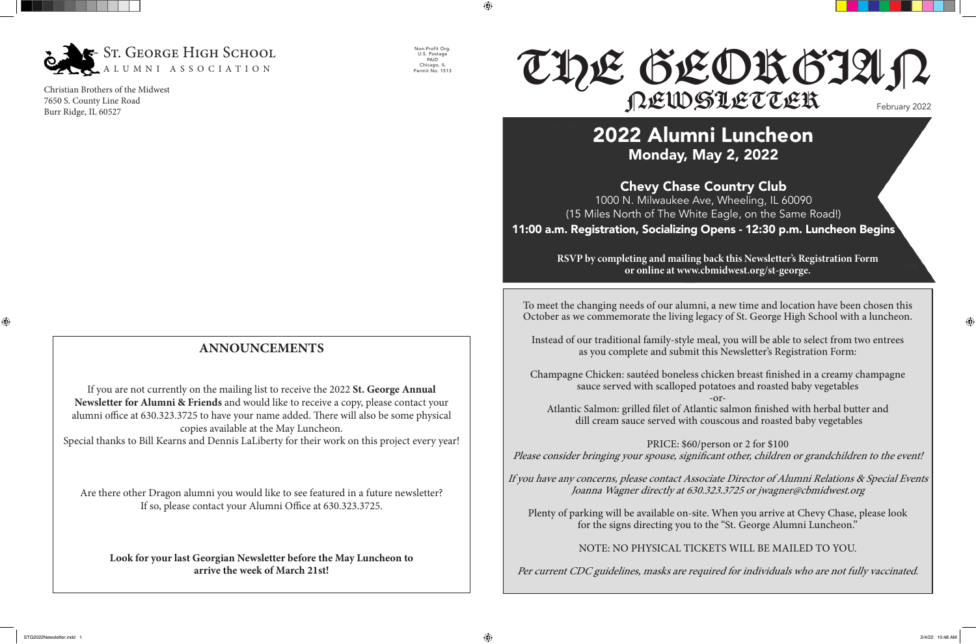To meet the changing needs of our alumni, a new time and location have been chosen this October as we commemorate the living legacy of St. George High School with a luncheon.

Instead of our traditional family-style meal, you will be able to select from two entrees as you complete and submit this Newsletter's Registration Form:

Champagne Chicken: sautéed boneless chicken breast finished in a creamy champagne sauce served with scalloped potatoes and roasted baby vegetables -or-

Atlantic Salmon: grilled filet of Atlantic salmon finished with herbal butter and dill cream sauce served with couscous and roasted baby vegetables

PRICE: \$60/person or 2 for \$100 Please consider bringing your spouse, significant other, children or grandchildren to the event!

If you have any concerns, please contact Associate Director of Alumni Relations & Special Events Joanna Wagner directly at 630.323.3725 or jwagner@cbmidwest.org

# February 2022 THE GEORGIAN NEWSLETTER

Plenty of parking will be available on-site. When you arrive at Chevy Chase, please look for the signs directing you to the "St. George Alumni Luncheon."

NOTE: NO PHYSICAL TICKETS WILL BE MAILED TO YOU.

Per current CDC guidelines, masks are required for individuals who are not fully vaccinated.

## **ANNOUNCEMENTS**

If you are not currently on the mailing list to receive the 2022 **St. George Annual Newsletter for Alumni & Friends** and would like to receive a copy, please contact your alumni office at 630.323.3725 to have your name added. There will also be some physical copies available at the May Luncheon.

Special thanks to Bill Kearns and Dennis LaLiberty for their work on this project every year!

Are there other Dragon alumni you would like to see featured in a future newsletter? If so, please contact your Alumni Office at 630.323.3725.

**Look for your last Georgian Newsletter before the May Luncheon to arrive the week of March 21st!**

 $\bigoplus$ 

## 2022 Alumni Luncheon Monday, May 2, 2022

Chevy Chase Country Club 1000 N. Milwaukee Ave, Wheeling, IL 60090 (15 Miles North of The White Eagle, on the Same Road!)

11:00 a.m. Registration, Socializing Opens - 12:30 p.m. Luncheon Begins

**RSVP by completing and mailing back this Newsletter's Registration Form or online at www.cbmidwest.org/st-george.**



Christian Brothers of the Midwest 7650 S. County Line Road Burr Ridge, IL 60527

Non-Profit Org. U.S. Postage PAID Chicago, IL Permit No. 1513  $\bigoplus$